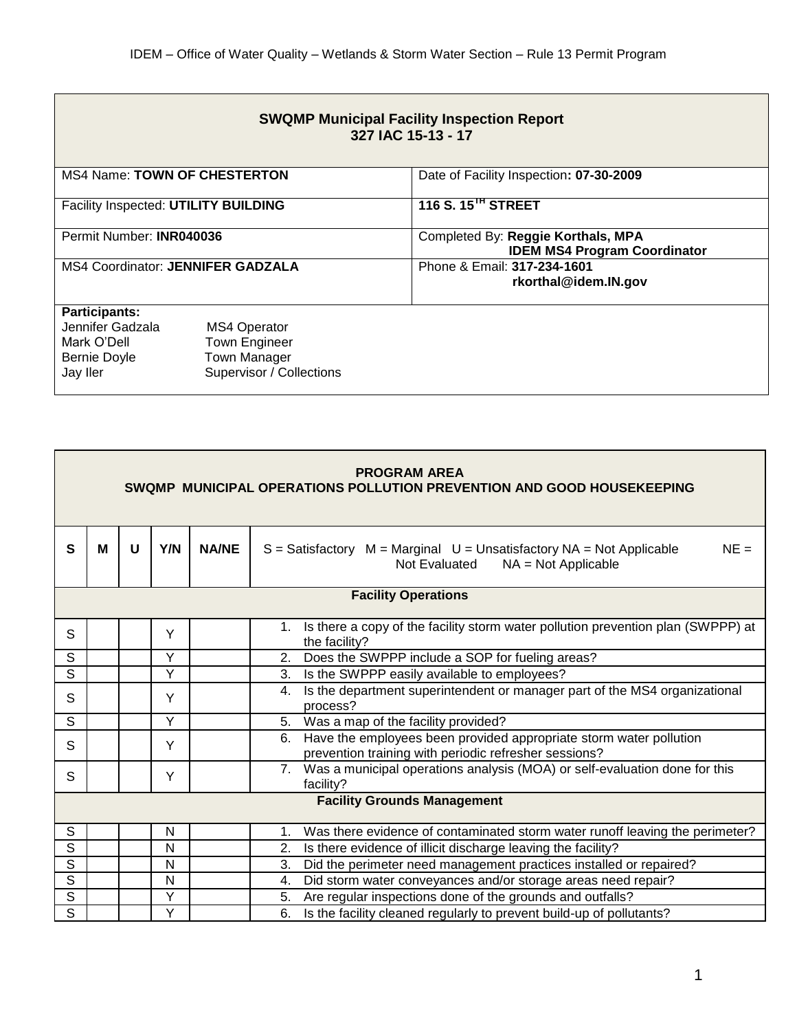| <b>SWQMP Municipal Facility Inspection Report</b><br>327 IAC 15-13 - 17                    |                                                                                                |                                                                           |  |  |  |  |  |
|--------------------------------------------------------------------------------------------|------------------------------------------------------------------------------------------------|---------------------------------------------------------------------------|--|--|--|--|--|
| <b>MS4 Name: TOWN OF CHESTERTON</b>                                                        |                                                                                                | Date of Facility Inspection: 07-30-2009                                   |  |  |  |  |  |
| Facility Inspected: UTILITY BUILDING                                                       |                                                                                                | 116 S. 15 <sup>TH</sup> STREET                                            |  |  |  |  |  |
| Permit Number: INR040036                                                                   |                                                                                                | Completed By: Reggie Korthals, MPA<br><b>IDEM MS4 Program Coordinator</b> |  |  |  |  |  |
| <b>MS4 Coordinator: JENNIFER GADZALA</b>                                                   |                                                                                                | Phone & Email: 317-234-1601<br>rkorthal@idem.IN.gov                       |  |  |  |  |  |
| <b>Participants:</b><br>Jennifer Gadzala<br>Mark O'Dell<br><b>Bernie Doyle</b><br>Jay Iler | <b>MS4 Operator</b><br><b>Town Engineer</b><br><b>Town Manager</b><br>Supervisor / Collections |                                                                           |  |  |  |  |  |

| <b>PROGRAM AREA</b><br>SWQMP MUNICIPAL OPERATIONS POLLUTION PREVENTION AND GOOD HOUSEKEEPING |   |   |     |              |                                                                                                                                   |  |  |
|----------------------------------------------------------------------------------------------|---|---|-----|--------------|-----------------------------------------------------------------------------------------------------------------------------------|--|--|
| $\mathbf{s}$                                                                                 | М | U | Y/N | <b>NA/NE</b> | $S = S$ atisfactory $M = Marginal$ $U = Unsatisfactory$ NA = Not Applicable<br>$NE =$<br>Not Evaluated<br>$NA = Not Applicable$   |  |  |
| <b>Facility Operations</b>                                                                   |   |   |     |              |                                                                                                                                   |  |  |
| S                                                                                            |   |   | Y   |              | Is there a copy of the facility storm water pollution prevention plan (SWPPP) at<br>1.<br>the facility?                           |  |  |
| S                                                                                            |   |   | Y   |              | Does the SWPPP include a SOP for fueling areas?<br>2.                                                                             |  |  |
| $\overline{s}$                                                                               |   |   | Y   |              | Is the SWPPP easily available to employees?<br>3.                                                                                 |  |  |
| S                                                                                            |   |   | Y   |              | Is the department superintendent or manager part of the MS4 organizational<br>4.<br>process?                                      |  |  |
| S                                                                                            |   |   | Y   |              | Was a map of the facility provided?<br>5.                                                                                         |  |  |
| S                                                                                            |   |   | Y   |              | Have the employees been provided appropriate storm water pollution<br>6.<br>prevention training with periodic refresher sessions? |  |  |
| S                                                                                            |   |   | Y   |              | 7. Was a municipal operations analysis (MOA) or self-evaluation done for this<br>facility?                                        |  |  |
| <b>Facility Grounds Management</b>                                                           |   |   |     |              |                                                                                                                                   |  |  |
| S                                                                                            |   |   | N   |              | Was there evidence of contaminated storm water runoff leaving the perimeter?<br>1.                                                |  |  |
| $\overline{s}$                                                                               |   |   | N   |              | Is there evidence of illicit discharge leaving the facility?<br>2.                                                                |  |  |
| $\overline{s}$                                                                               |   |   | N   |              | Did the perimeter need management practices installed or repaired?<br>3.                                                          |  |  |
| $\overline{s}$                                                                               |   |   | N   |              | Did storm water conveyances and/or storage areas need repair?<br>4.                                                               |  |  |
| $\mathbb S$                                                                                  |   |   | Ý   |              | Are regular inspections done of the grounds and outfalls?<br>5.                                                                   |  |  |
| $\overline{s}$                                                                               |   |   | Y   |              | 6.<br>Is the facility cleaned regularly to prevent build-up of pollutants?                                                        |  |  |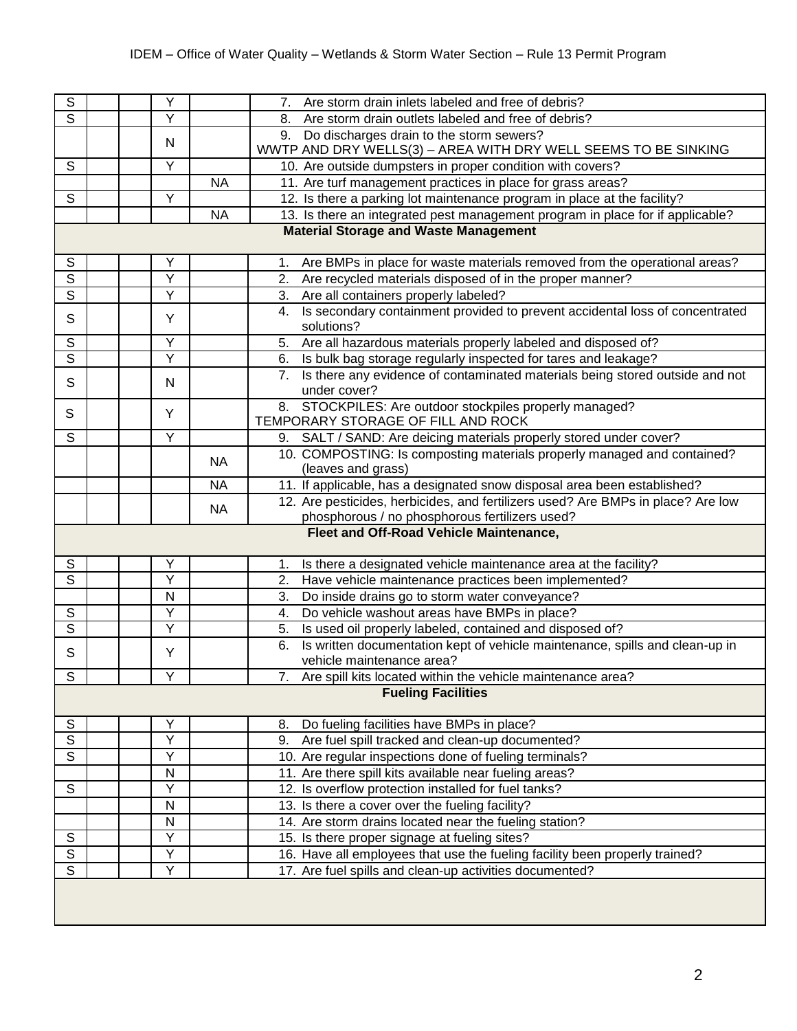| $\overline{s}$          |  | Υ            |           | 7. Are storm drain inlets labeled and free of debris?                              |  |  |  |
|-------------------------|--|--------------|-----------|------------------------------------------------------------------------------------|--|--|--|
| $\overline{s}$          |  | Y            |           | Are storm drain outlets labeled and free of debris?<br>8.                          |  |  |  |
|                         |  |              |           | 9. Do discharges drain to the storm sewers?                                        |  |  |  |
|                         |  | N            |           | WWTP AND DRY WELLS(3) - AREA WITH DRY WELL SEEMS TO BE SINKING                     |  |  |  |
| S                       |  | Y            |           | 10. Are outside dumpsters in proper condition with covers?                         |  |  |  |
|                         |  |              | <b>NA</b> | 11. Are turf management practices in place for grass areas?                        |  |  |  |
| $\mathsf{S}$            |  | Y            |           | 12. Is there a parking lot maintenance program in place at the facility?           |  |  |  |
|                         |  |              | <b>NA</b> | 13. Is there an integrated pest management program in place for if applicable?     |  |  |  |
|                         |  |              |           | <b>Material Storage and Waste Management</b>                                       |  |  |  |
|                         |  |              |           |                                                                                    |  |  |  |
| ${\mathsf S}$           |  | Y            |           | Are BMPs in place for waste materials removed from the operational areas?<br>1.    |  |  |  |
| $\overline{s}$          |  | Ÿ            |           | 2. Are recycled materials disposed of in the proper manner?                        |  |  |  |
| $\overline{s}$          |  | Y            |           | 3. Are all containers properly labeled?                                            |  |  |  |
| S                       |  | Y            |           | Is secondary containment provided to prevent accidental loss of concentrated<br>4. |  |  |  |
|                         |  |              |           | solutions?                                                                         |  |  |  |
| $\overline{s}$          |  | Y            |           | Are all hazardous materials properly labeled and disposed of?<br>5.                |  |  |  |
| $\overline{s}$          |  | Υ            |           | Is bulk bag storage regularly inspected for tares and leakage?<br>6.               |  |  |  |
| $\mathsf{S}$            |  | N            |           | Is there any evidence of contaminated materials being stored outside and not       |  |  |  |
|                         |  |              |           | under cover?                                                                       |  |  |  |
| S                       |  | Y            |           | 8. STOCKPILES: Are outdoor stockpiles properly managed?                            |  |  |  |
|                         |  |              |           | TEMPORARY STORAGE OF FILL AND ROCK                                                 |  |  |  |
| S                       |  | Y            |           | 9. SALT / SAND: Are deicing materials properly stored under cover?                 |  |  |  |
|                         |  |              | <b>NA</b> | 10. COMPOSTING: Is composting materials properly managed and contained?            |  |  |  |
|                         |  |              |           | (leaves and grass)                                                                 |  |  |  |
|                         |  |              | <b>NA</b> | 11. If applicable, has a designated snow disposal area been established?           |  |  |  |
|                         |  |              | <b>NA</b> | 12. Are pesticides, herbicides, and fertilizers used? Are BMPs in place? Are low   |  |  |  |
|                         |  |              |           | phosphorous / no phosphorous fertilizers used?                                     |  |  |  |
|                         |  |              |           | Fleet and Off-Road Vehicle Maintenance,                                            |  |  |  |
| S                       |  | Υ            |           | Is there a designated vehicle maintenance area at the facility?<br>1.              |  |  |  |
| $\overline{s}$          |  | Υ            |           | Have vehicle maintenance practices been implemented?<br>2.                         |  |  |  |
|                         |  | N            |           | Do inside drains go to storm water conveyance?<br>3.                               |  |  |  |
| ${\mathsf S}$           |  | Υ            |           | Do vehicle washout areas have BMPs in place?<br>4.                                 |  |  |  |
| $\overline{s}$          |  | Y            |           | Is used oil properly labeled, contained and disposed of?<br>5.                     |  |  |  |
|                         |  |              |           | Is written documentation kept of vehicle maintenance, spills and clean-up in<br>6. |  |  |  |
| $\mathsf S$             |  | Y            |           | vehicle maintenance area?                                                          |  |  |  |
| $\overline{\mathsf{s}}$ |  | $\vee$       |           | 7. Are spill kits located within the vehicle maintenance area?                     |  |  |  |
|                         |  |              |           | <b>Fueling Facilities</b>                                                          |  |  |  |
|                         |  |              |           |                                                                                    |  |  |  |
| ${\mathbb S}$           |  | Y            |           | Do fueling facilities have BMPs in place?<br>8.                                    |  |  |  |
| $\overline{\mathsf{s}}$ |  | Ÿ            |           | Are fuel spill tracked and clean-up documented?<br>9.                              |  |  |  |
| $\overline{s}$          |  | Y            |           | 10. Are regular inspections done of fueling terminals?                             |  |  |  |
|                         |  | ${\sf N}$    |           | 11. Are there spill kits available near fueling areas?                             |  |  |  |
| $\mathsf S$             |  | Υ            |           | 12. Is overflow protection installed for fuel tanks?                               |  |  |  |
|                         |  | $\mathsf{N}$ |           | 13. Is there a cover over the fueling facility?                                    |  |  |  |
|                         |  | N            |           | 14. Are storm drains located near the fueling station?                             |  |  |  |
| $\mathsf S$             |  | Υ            |           | 15. Is there proper signage at fueling sites?                                      |  |  |  |
| $\overline{s}$          |  | Y            |           | 16. Have all employees that use the fueling facility been properly trained?        |  |  |  |
| $\overline{s}$          |  | Υ            |           | 17. Are fuel spills and clean-up activities documented?                            |  |  |  |
|                         |  |              |           |                                                                                    |  |  |  |
|                         |  |              |           |                                                                                    |  |  |  |
|                         |  |              |           |                                                                                    |  |  |  |